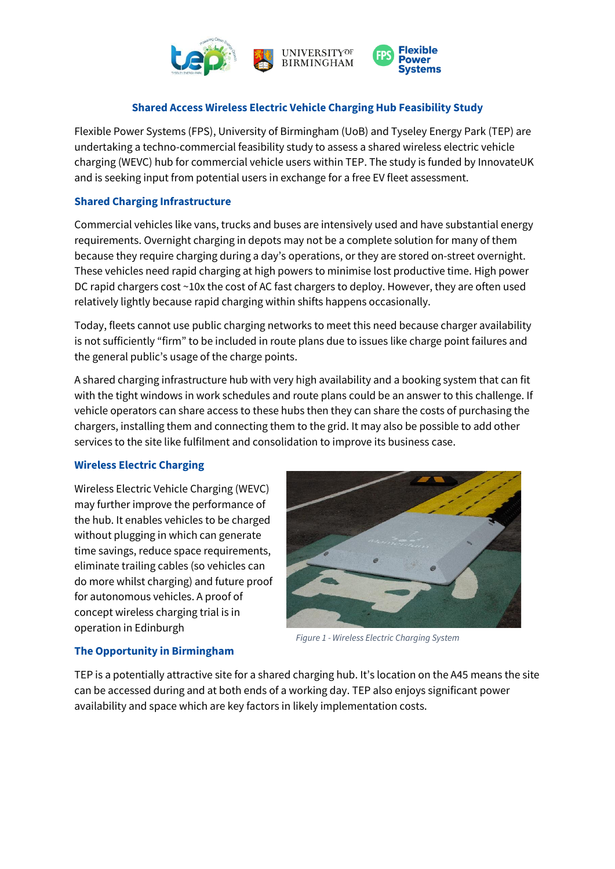

## **Shared Access Wireless Electric Vehicle Charging Hub Feasibility Study**

Flexible Power Systems (FPS), University of Birmingham (UoB) and Tyseley Energy Park (TEP) are undertaking a techno-commercial feasibility study to assess a shared wireless electric vehicle charging (WEVC) hub for commercial vehicle users within TEP. The study is funded by InnovateUK and is seeking input from potential users in exchange for a free EV fleet assessment.

### **Shared Charging Infrastructure**

Commercial vehicles like vans, trucks and buses are intensively used and have substantial energy requirements. Overnight charging in depots may not be a complete solution for many of them because they require charging during a day's operations, or they are stored on-street overnight. These vehicles need rapid charging at high powers to minimise lost productive time. High power DC rapid chargers cost ~10x the cost of AC fast chargers to deploy. However, they are often used relatively lightly because rapid charging within shifts happens occasionally.

Today, fleets cannot use public charging networks to meet this need because charger availability is not sufficiently "firm" to be included in route plans due to issues like charge point failures and the general public's usage of the charge points.

A shared charging infrastructure hub with very high availability and a booking system that can fit with the tight windows in work schedules and route plans could be an answer to this challenge. If vehicle operators can share access to these hubs then they can share the costs of purchasing the chargers, installing them and connecting them to the grid. It may also be possible to add other services to the site like fulfilment and consolidation to improve its business case.

#### **Wireless Electric Charging**

Wireless Electric Vehicle Charging (WEVC) may further improve the performance of the hub. It enables vehicles to be charged without plugging in which can generate time savings, reduce space requirements, eliminate trailing cables (so vehicles can do more whilst charging) and future proof for autonomous vehicles. A proof of concept wireless charging trial is in operation in Edinburgh



*Figure 1 - Wireless Electric Charging System*

#### **The Opportunity in Birmingham**

TEP is a potentially attractive site for a shared charging hub. It's location on the A45 means the site can be accessed during and at both ends of a working day. TEP also enjoys significant power availability and space which are key factors in likely implementation costs.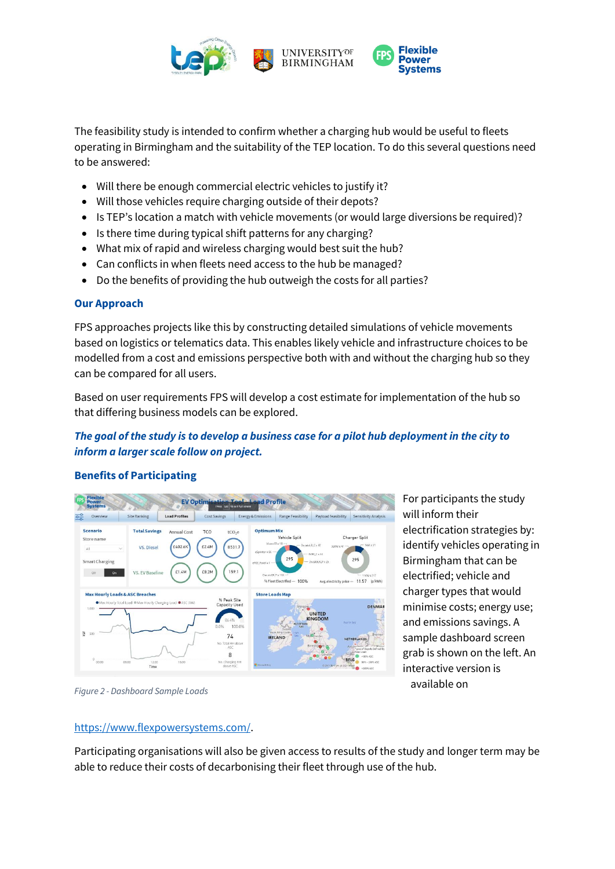

The feasibility study is intended to confirm whether a charging hub would be useful to fleets operating in Birmingham and the suitability of the TEP location. To do this several questions need to be answered:

- Will there be enough commercial electric vehicles to justify it?
- Will those vehicles require charging outside of their depots?
- Is TEP's location a match with vehicle movements (or would large diversions be required)?
- Is there time during typical shift patterns for any charging?
- What mix of rapid and wireless charging would best suit the hub?
- Can conflicts in when fleets need access to the hub be managed?
- Do the benefits of providing the hub outweigh the costs for all parties?

#### **Our Approach**

FPS approaches projects like this by constructing detailed simulations of vehicle movements based on logistics or telematics data. This enables likely vehicle and infrastructure choices to be modelled from a cost and emissions perspective both with and without the charging hub so they can be compared for all users.

Based on user requirements FPS will develop a cost estimate for implementation of the hub so that differing business models can be explored.

# *The goal of the study is to develop a business case for a pilot hub deployment in the city to inform a larger scale follow on project.*

#### **Benefits of Participating**



For participants the study will inform their electrification strategies by: identify vehicles operating in Birmingham that can be electrified; vehicle and charger types that would minimise costs; energy use; and emissions savings. A sample dashboard screen grab is shown on the left. An interactive version is available on

*Figure 2 - Dashboard Sample Loads*

## [https://www.flexpowersystems.com/.](https://www.flexpowersystems.com/)

Participating organisations will also be given access to results of the study and longer term may be able to reduce their costs of decarbonising their fleet through use of the hub.